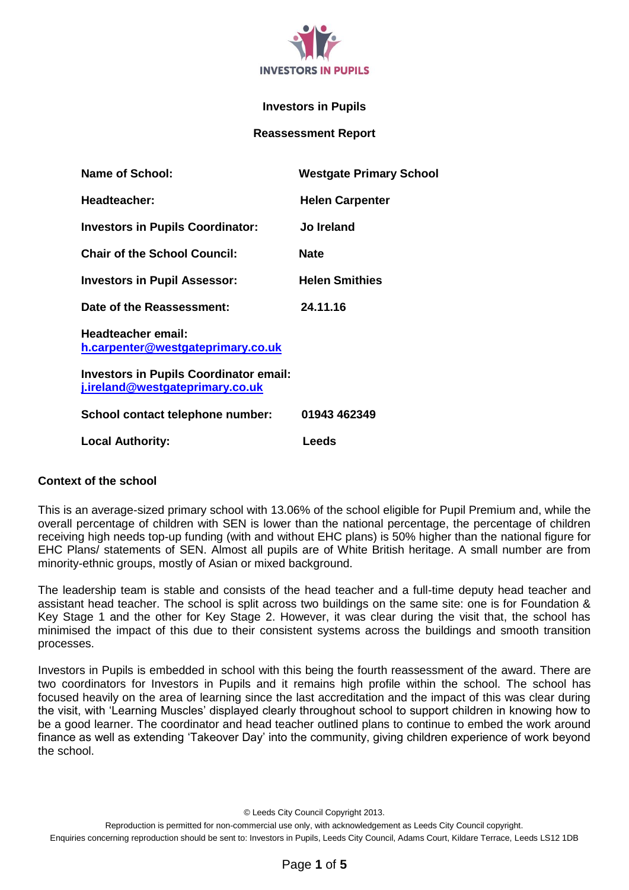

#### **Investors in Pupils**

#### **Reassessment Report**

| Name of School:                                                                  | <b>Westgate Primary School</b> |
|----------------------------------------------------------------------------------|--------------------------------|
| Headteacher:                                                                     | <b>Helen Carpenter</b>         |
| <b>Investors in Pupils Coordinator:</b>                                          | Jo Ireland                     |
| <b>Chair of the School Council:</b>                                              | <b>Nate</b>                    |
| <b>Investors in Pupil Assessor:</b>                                              | <b>Helen Smithies</b>          |
| Date of the Reassessment:                                                        | 24.11.16                       |
| Headteacher email:<br>h.carpenter@westgateprimary.co.uk                          |                                |
| <b>Investors in Pupils Coordinator email:</b><br>j.ireland@westgateprimary.co.uk |                                |
| School contact telephone number:                                                 | 01943 462349                   |
| <b>Local Authority:</b>                                                          | Leeds                          |

#### **Context of the school**

This is an average-sized primary school with 13.06% of the school eligible for Pupil Premium and, while the overall percentage of children with SEN is lower than the national percentage, the percentage of children receiving high needs top-up funding (with and without EHC plans) is 50% higher than the national figure for EHC Plans/ statements of SEN. Almost all pupils are of White British heritage. A small number are from minority-ethnic groups, mostly of Asian or mixed background.

The leadership team is stable and consists of the head teacher and a full-time deputy head teacher and assistant head teacher. The school is split across two buildings on the same site: one is for Foundation & Key Stage 1 and the other for Key Stage 2. However, it was clear during the visit that, the school has minimised the impact of this due to their consistent systems across the buildings and smooth transition processes.

Investors in Pupils is embedded in school with this being the fourth reassessment of the award. There are two coordinators for Investors in Pupils and it remains high profile within the school. The school has focused heavily on the area of learning since the last accreditation and the impact of this was clear during the visit, with 'Learning Muscles' displayed clearly throughout school to support children in knowing how to be a good learner. The coordinator and head teacher outlined plans to continue to embed the work around finance as well as extending 'Takeover Day' into the community, giving children experience of work beyond the school.

© Leeds City Council Copyright 2013.

Reproduction is permitted for non-commercial use only, with acknowledgement as Leeds City Council copyright. Enquiries concerning reproduction should be sent to: Investors in Pupils, Leeds City Council, Adams Court, Kildare Terrace, Leeds LS12 1DB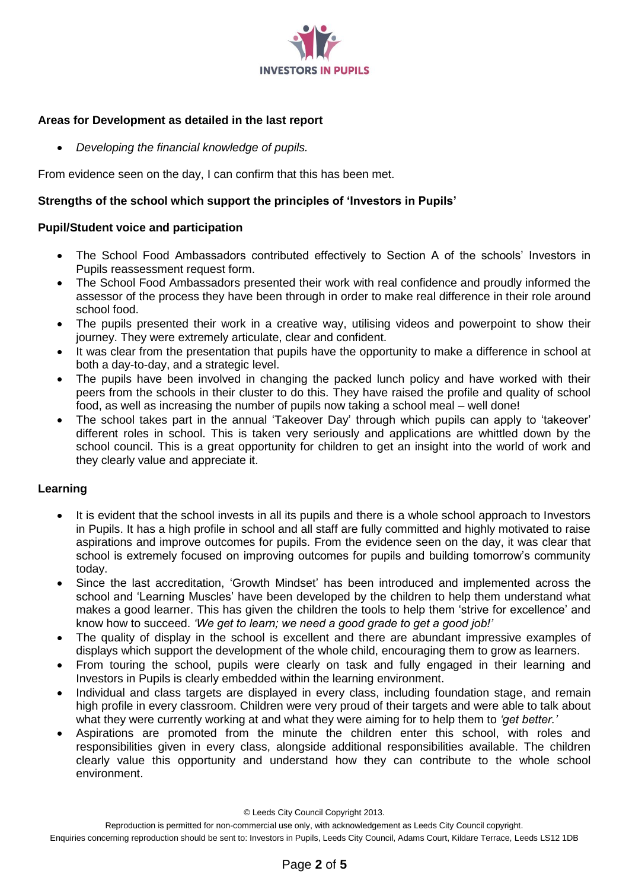

# **Areas for Development as detailed in the last report**

*Developing the financial knowledge of pupils.* 

From evidence seen on the day, I can confirm that this has been met.

# **Strengths of the school which support the principles of 'Investors in Pupils'**

## **Pupil/Student voice and participation**

- The School Food Ambassadors contributed effectively to Section A of the schools' Investors in Pupils reassessment request form.
- The School Food Ambassadors presented their work with real confidence and proudly informed the assessor of the process they have been through in order to make real difference in their role around school food.
- The pupils presented their work in a creative way, utilising videos and powerpoint to show their journey. They were extremely articulate, clear and confident.
- It was clear from the presentation that pupils have the opportunity to make a difference in school at both a day-to-day, and a strategic level.
- The pupils have been involved in changing the packed lunch policy and have worked with their peers from the schools in their cluster to do this. They have raised the profile and quality of school food, as well as increasing the number of pupils now taking a school meal – well done!
- The school takes part in the annual 'Takeover Day' through which pupils can apply to 'takeover' different roles in school. This is taken very seriously and applications are whittled down by the school council. This is a great opportunity for children to get an insight into the world of work and they clearly value and appreciate it.

# **Learning**

- It is evident that the school invests in all its pupils and there is a whole school approach to Investors in Pupils. It has a high profile in school and all staff are fully committed and highly motivated to raise aspirations and improve outcomes for pupils. From the evidence seen on the day, it was clear that school is extremely focused on improving outcomes for pupils and building tomorrow's community today.
- Since the last accreditation, 'Growth Mindset' has been introduced and implemented across the school and 'Learning Muscles' have been developed by the children to help them understand what makes a good learner. This has given the children the tools to help them 'strive for excellence' and know how to succeed. *'We get to learn; we need a good grade to get a good job!'*
- The quality of display in the school is excellent and there are abundant impressive examples of displays which support the development of the whole child, encouraging them to grow as learners.
- From touring the school, pupils were clearly on task and fully engaged in their learning and Investors in Pupils is clearly embedded within the learning environment.
- Individual and class targets are displayed in every class, including foundation stage, and remain high profile in every classroom. Children were very proud of their targets and were able to talk about what they were currently working at and what they were aiming for to help them to *'get better.'*
- Aspirations are promoted from the minute the children enter this school, with roles and responsibilities given in every class, alongside additional responsibilities available. The children clearly value this opportunity and understand how they can contribute to the whole school environment.

© Leeds City Council Copyright 2013.

Reproduction is permitted for non-commercial use only, with acknowledgement as Leeds City Council copyright.

Enquiries concerning reproduction should be sent to: Investors in Pupils, Leeds City Council, Adams Court, Kildare Terrace, Leeds LS12 1DB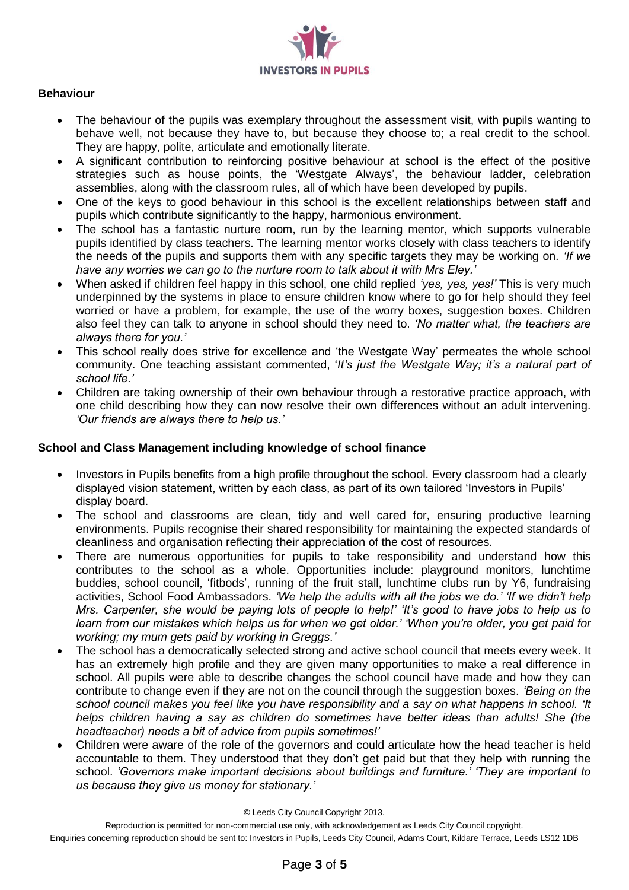

## **Behaviour**

- The behaviour of the pupils was exemplary throughout the assessment visit, with pupils wanting to behave well, not because they have to, but because they choose to; a real credit to the school. They are happy, polite, articulate and emotionally literate.
- A significant contribution to reinforcing positive behaviour at school is the effect of the positive strategies such as house points, the 'Westgate Always', the behaviour ladder, celebration assemblies, along with the classroom rules, all of which have been developed by pupils.
- One of the keys to good behaviour in this school is the excellent relationships between staff and pupils which contribute significantly to the happy, harmonious environment.
- The school has a fantastic nurture room, run by the learning mentor, which supports vulnerable pupils identified by class teachers. The learning mentor works closely with class teachers to identify the needs of the pupils and supports them with any specific targets they may be working on*. 'If we have any worries we can go to the nurture room to talk about it with Mrs Eley.'*
- When asked if children feel happy in this school, one child replied *'yes, yes, yes!'* This is very much underpinned by the systems in place to ensure children know where to go for help should they feel worried or have a problem, for example, the use of the worry boxes, suggestion boxes. Children also feel they can talk to anyone in school should they need to. *'No matter what, the teachers are always there for you.'*
- This school really does strive for excellence and 'the Westgate Way' permeates the whole school community. One teaching assistant commented, '*It's just the Westgate Way; it's a natural part of school life.'*
- Children are taking ownership of their own behaviour through a restorative practice approach, with one child describing how they can now resolve their own differences without an adult intervening. *'Our friends are always there to help us.'*

# **School and Class Management including knowledge of school finance**

- Investors in Pupils benefits from a high profile throughout the school. Every classroom had a clearly displayed vision statement, written by each class, as part of its own tailored 'Investors in Pupils' display board.
- The school and classrooms are clean, tidy and well cared for, ensuring productive learning environments. Pupils recognise their shared responsibility for maintaining the expected standards of cleanliness and organisation reflecting their appreciation of the cost of resources.
- There are numerous opportunities for pupils to take responsibility and understand how this contributes to the school as a whole. Opportunities include: playground monitors, lunchtime buddies, school council, 'fitbods', running of the fruit stall, lunchtime clubs run by Y6, fundraising activities, School Food Ambassadors. *'We help the adults with all the jobs we do.' 'If we didn't help Mrs. Carpenter, she would be paying lots of people to help!' 'It's good to have jobs to help us to learn from our mistakes which helps us for when we get older.' 'When you're older, you get paid for working; my mum gets paid by working in Greggs.'*
- The school has a democratically selected strong and active school council that meets every week. It has an extremely high profile and they are given many opportunities to make a real difference in school. All pupils were able to describe changes the school council have made and how they can contribute to change even if they are not on the council through the suggestion boxes. *'Being on the school council makes you feel like you have responsibility and a say on what happens in school. 'It helps children having a say as children do sometimes have better ideas than adults! She (the headteacher) needs a bit of advice from pupils sometimes!'*
- Children were aware of the role of the governors and could articulate how the head teacher is held accountable to them. They understood that they don't get paid but that they help with running the school. *'Governors make important decisions about buildings and furniture.' 'They are important to us because they give us money for stationary.'*

© Leeds City Council Copyright 2013.

Reproduction is permitted for non-commercial use only, with acknowledgement as Leeds City Council copyright.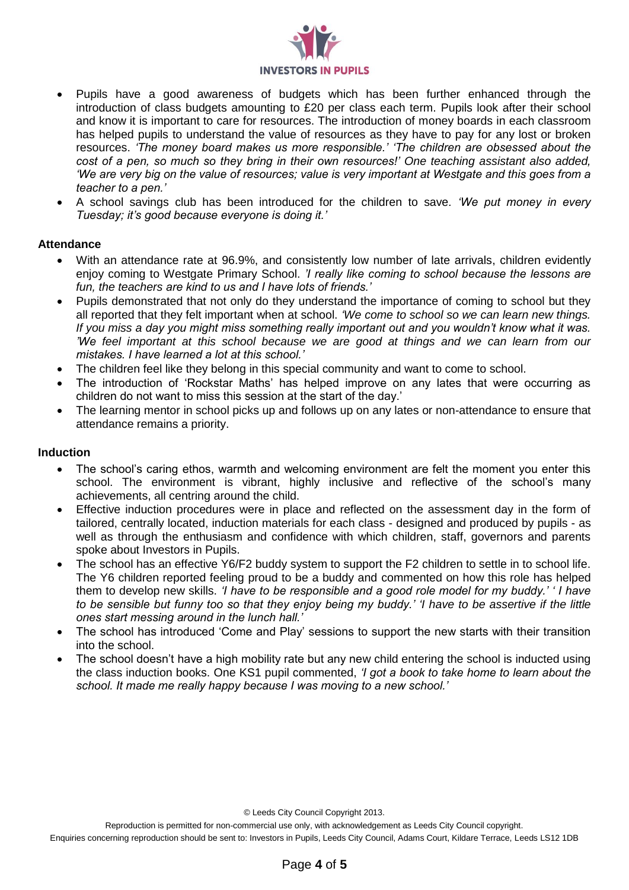

- Pupils have a good awareness of budgets which has been further enhanced through the introduction of class budgets amounting to £20 per class each term. Pupils look after their school and know it is important to care for resources. The introduction of money boards in each classroom has helped pupils to understand the value of resources as they have to pay for any lost or broken resources. *'The money board makes us more responsible.' 'The children are obsessed about the cost of a pen, so much so they bring in their own resources!' One teaching assistant also added, 'We are very big on the value of resources; value is very important at Westgate and this goes from a teacher to a pen.'*
- A school savings club has been introduced for the children to save*. 'We put money in every Tuesday; it's good because everyone is doing it.'*

## **Attendance**

- With an attendance rate at 96.9%, and consistently low number of late arrivals, children evidently enjoy coming to Westgate Primary School. *'I really like coming to school because the lessons are fun, the teachers are kind to us and I have lots of friends.'*
- Pupils demonstrated that not only do they understand the importance of coming to school but they all reported that they felt important when at school. *'We come to school so we can learn new things. If you miss a day you might miss something really important out and you wouldn't know what it was. 'We feel important at this school because we are good at things and we can learn from our mistakes. I have learned a lot at this school.'*
- The children feel like they belong in this special community and want to come to school.
- The introduction of 'Rockstar Maths' has helped improve on any lates that were occurring as children do not want to miss this session at the start of the day.'
- The learning mentor in school picks up and follows up on any lates or non-attendance to ensure that attendance remains a priority.

#### **Induction**

- The school's caring ethos, warmth and welcoming environment are felt the moment you enter this school. The environment is vibrant, highly inclusive and reflective of the school's many achievements, all centring around the child.
- Effective induction procedures were in place and reflected on the assessment day in the form of tailored, centrally located, induction materials for each class - designed and produced by pupils - as well as through the enthusiasm and confidence with which children, staff, governors and parents spoke about Investors in Pupils.
- The school has an effective Y6/F2 buddy system to support the F2 children to settle in to school life. The Y6 children reported feeling proud to be a buddy and commented on how this role has helped them to develop new skills. *'I have to be responsible and a good role model for my buddy.' ' I have to be sensible but funny too so that they enjoy being my buddy.' 'I have to be assertive if the little ones start messing around in the lunch hall.'*
- The school has introduced 'Come and Play' sessions to support the new starts with their transition into the school.
- The school doesn't have a high mobility rate but any new child entering the school is inducted using the class induction books. One KS1 pupil commented, *'I got a book to take home to learn about the school. It made me really happy because I was moving to a new school.'*

© Leeds City Council Copyright 2013.

Reproduction is permitted for non-commercial use only, with acknowledgement as Leeds City Council copyright.

Enquiries concerning reproduction should be sent to: Investors in Pupils, Leeds City Council, Adams Court, Kildare Terrace, Leeds LS12 1DB